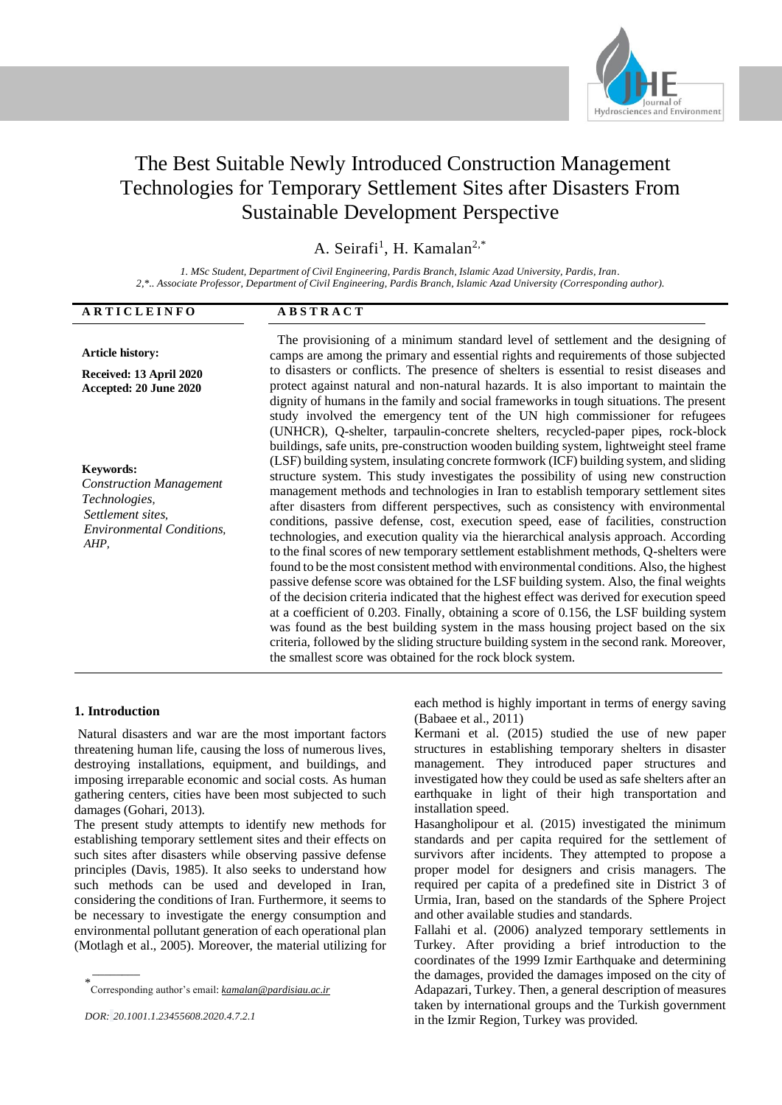

# The Best Suitable Newly Introduced Construction Management Technologies for Temporary Settlement Sites after Disasters From Sustainable Development Perspective

A. Seirafi<sup>1</sup>, H. Kamalan<sup>2,\*</sup>

*1. MSc Student, Department of Civil Engineering, Pardis Branch, Islamic Azad University, Pardis, Iran. 2,\*.. Associate Professor, Department of Civil Engineering, Pardis Branch, Islamic Azad University (Corresponding author).*

| ARTICLEINFO                                                                                                                          | <b>ABSTRACT</b>                                                                                                                                                                                                                                                                                                                                                                                                                                                                                                                                                                                                                                                                                                                                                                                                                                                                                                                                                                                                                                                                                                                                                                                                                                                                                                                                                                                                                                                                                                                                                                                                                |
|--------------------------------------------------------------------------------------------------------------------------------------|--------------------------------------------------------------------------------------------------------------------------------------------------------------------------------------------------------------------------------------------------------------------------------------------------------------------------------------------------------------------------------------------------------------------------------------------------------------------------------------------------------------------------------------------------------------------------------------------------------------------------------------------------------------------------------------------------------------------------------------------------------------------------------------------------------------------------------------------------------------------------------------------------------------------------------------------------------------------------------------------------------------------------------------------------------------------------------------------------------------------------------------------------------------------------------------------------------------------------------------------------------------------------------------------------------------------------------------------------------------------------------------------------------------------------------------------------------------------------------------------------------------------------------------------------------------------------------------------------------------------------------|
| <b>Article history:</b>                                                                                                              | The provisioning of a minimum standard level of settlement and the designing of<br>camps are among the primary and essential rights and requirements of those subjected                                                                                                                                                                                                                                                                                                                                                                                                                                                                                                                                                                                                                                                                                                                                                                                                                                                                                                                                                                                                                                                                                                                                                                                                                                                                                                                                                                                                                                                        |
| Received: 13 April 2020                                                                                                              | to disasters or conflicts. The presence of shelters is essential to resist diseases and                                                                                                                                                                                                                                                                                                                                                                                                                                                                                                                                                                                                                                                                                                                                                                                                                                                                                                                                                                                                                                                                                                                                                                                                                                                                                                                                                                                                                                                                                                                                        |
| Accepted: 20 June 2020                                                                                                               | protect against natural and non-natural hazards. It is also important to maintain the                                                                                                                                                                                                                                                                                                                                                                                                                                                                                                                                                                                                                                                                                                                                                                                                                                                                                                                                                                                                                                                                                                                                                                                                                                                                                                                                                                                                                                                                                                                                          |
| <b>Keywords:</b><br><b>Construction Management</b><br>Technologies,<br>Settlement sites,<br><b>Environmental Conditions,</b><br>AHP, | dignity of humans in the family and social frameworks in tough situations. The present<br>study involved the emergency tent of the UN high commissioner for refugees<br>(UNHCR), Q-shelter, tarpaulin-concrete shelters, recycled-paper pipes, rock-block<br>buildings, safe units, pre-construction wooden building system, lightweight steel frame<br>(LSF) building system, insulating concrete formwork (ICF) building system, and sliding<br>structure system. This study investigates the possibility of using new construction<br>management methods and technologies in Iran to establish temporary settlement sites<br>after disasters from different perspectives, such as consistency with environmental<br>conditions, passive defense, cost, execution speed, ease of facilities, construction<br>technologies, and execution quality via the hierarchical analysis approach. According<br>to the final scores of new temporary settlement establishment methods, Q-shelters were<br>found to be the most consistent method with environmental conditions. Also, the highest<br>passive defense score was obtained for the LSF building system. Also, the final weights<br>of the decision criteria indicated that the highest effect was derived for execution speed<br>at a coefficient of 0.203. Finally, obtaining a score of 0.156, the LSF building system<br>was found as the best building system in the mass housing project based on the six<br>criteria, followed by the sliding structure building system in the second rank. Moreover,<br>the smallest score was obtained for the rock block system. |

## **1. Introduction**

\_\_\_\_\_\_\_\_

Natural disasters and war are the most important factors threatening human life, causing the loss of numerous lives, destroying installations, equipment, and buildings, and imposing irreparable economic and social costs. As human gathering centers, cities have been most subjected to such damages (Gohari, 2013).

The present study attempts to identify new methods for establishing temporary settlement sites and their effects on such sites after disasters while observing passive defense principles (Davis, 1985). It also seeks to understand how such methods can be used and developed in Iran, considering the conditions of Iran. Furthermore, it seems to be necessary to investigate the energy consumption and environmental pollutant generation of each operational plan (Motlagh et al., 2005). Moreover, the material utilizing for

\* Corresponding author's email: *kamalan@pardisiau.ac.ir*

each method is highly important in terms of energy saving (Babaee et al., 2011)

Kermani et al. (2015) studied the use of new paper structures in establishing temporary shelters in disaster management. They introduced paper structures and investigated how they could be used as safe shelters after an earthquake in light of their high transportation and installation speed.

Hasangholipour et al. (2015) investigated the minimum standards and per capita required for the settlement of survivors after incidents. They attempted to propose a proper model for designers and crisis managers. The required per capita of a predefined site in District 3 of Urmia, Iran, based on the standards of the Sphere Project and other available studies and standards.

Fallahi et al. (2006) analyzed temporary settlements in Turkey. After providing a brief introduction to the coordinates of the 1999 Izmir Earthquake and determining the damages, provided the damages imposed on the city of Adapazari, Turkey. Then, a general description of measures taken by international groups and the Turkish government in the Izmir Region, Turkey was provided.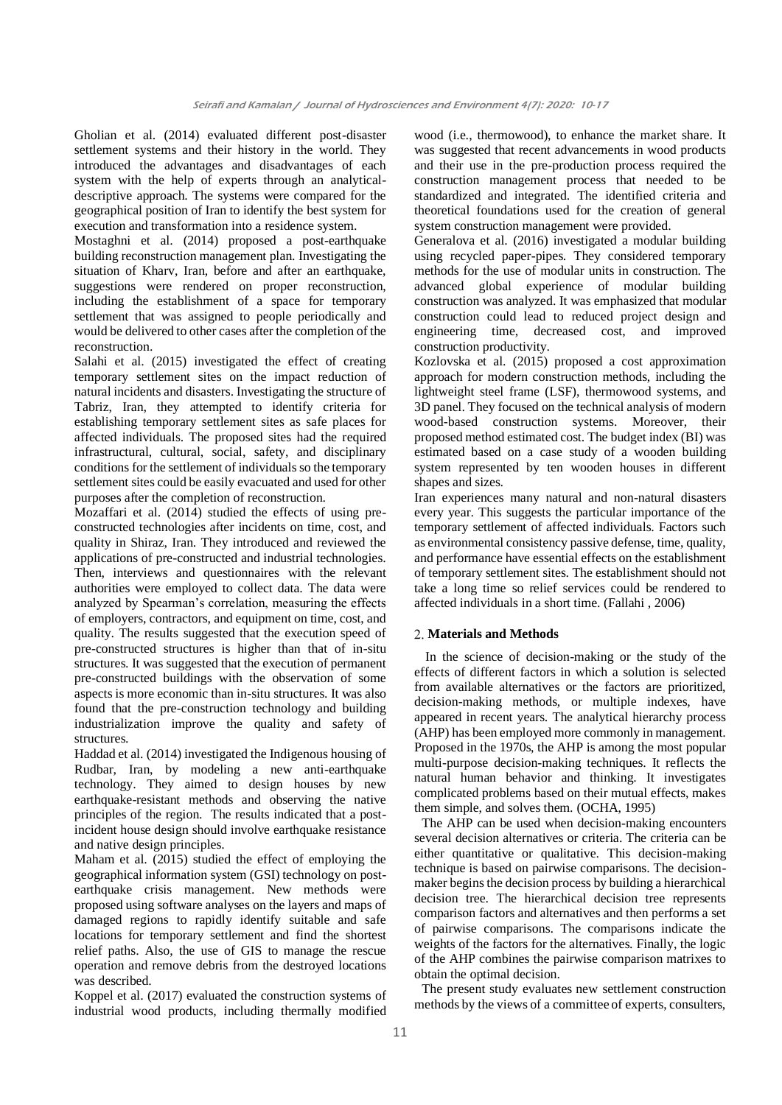Gholian et al. (2014) evaluated different post-disaster settlement systems and their history in the world. They introduced the advantages and disadvantages of each system with the help of experts through an analyticaldescriptive approach. The systems were compared for the geographical position of Iran to identify the best system for execution and transformation into a residence system.

Mostaghni et al. (2014) proposed a post-earthquake building reconstruction management plan. Investigating the situation of Kharv, Iran, before and after an earthquake, suggestions were rendered on proper reconstruction, including the establishment of a space for temporary settlement that was assigned to people periodically and would be delivered to other cases after the completion of the reconstruction.

Salahi et al. (2015) investigated the effect of creating temporary settlement sites on the impact reduction of natural incidents and disasters. Investigating the structure of Tabriz, Iran, they attempted to identify criteria for establishing temporary settlement sites as safe places for affected individuals. The proposed sites had the required infrastructural, cultural, social, safety, and disciplinary conditions for the settlement of individuals so the temporary settlement sites could be easily evacuated and used for other purposes after the completion of reconstruction.

Mozaffari et al. (2014) studied the effects of using preconstructed technologies after incidents on time, cost, and quality in Shiraz, Iran. They introduced and reviewed the applications of pre-constructed and industrial technologies. Then, interviews and questionnaires with the relevant authorities were employed to collect data. The data were analyzed by Spearman's correlation, measuring the effects of employers, contractors, and equipment on time, cost, and quality. The results suggested that the execution speed of pre-constructed structures is higher than that of in-situ structures. It was suggested that the execution of permanent pre-constructed buildings with the observation of some aspects is more economic than in-situ structures. It was also found that the pre-construction technology and building industrialization improve the quality and safety of structures.

Haddad et al. (2014) investigated the Indigenous housing of Rudbar, Iran, by modeling a new anti-earthquake technology. They aimed to design houses by new earthquake-resistant methods and observing the native principles of the region. The results indicated that a postincident house design should involve earthquake resistance and native design principles.

Maham et al. (2015) studied the effect of employing the geographical information system (GSI) technology on postearthquake crisis management. New methods were proposed using software analyses on the layers and maps of damaged regions to rapidly identify suitable and safe locations for temporary settlement and find the shortest relief paths. Also, the use of GIS to manage the rescue operation and remove debris from the destroyed locations was described.

Koppel et al. (2017) evaluated the construction systems of industrial wood products, including thermally modified wood (i.e., thermowood), to enhance the market share. It was suggested that recent advancements in wood products and their use in the pre-production process required the construction management process that needed to be standardized and integrated. The identified criteria and theoretical foundations used for the creation of general system construction management were provided.

Generalova et al. (2016) investigated a modular building using recycled paper-pipes. They considered temporary methods for the use of modular units in construction. The advanced global experience of modular building construction was analyzed. It was emphasized that modular construction could lead to reduced project design and engineering time, decreased cost, and improved construction productivity.

Kozlovska et al. (2015) proposed a cost approximation approach for modern construction methods, including the lightweight steel frame (LSF), thermowood systems, and 3D panel. They focused on the technical analysis of modern wood-based construction systems. Moreover, their proposed method estimated cost. The budget index (BI) was estimated based on a case study of a wooden building system represented by ten wooden houses in different shapes and sizes.

Iran experiences many natural and non-natural disasters every year. This suggests the particular importance of the temporary settlement of affected individuals. Factors such as environmental consistency passive defense, time, quality, and performance have essential effects on the establishment of temporary settlement sites. The establishment should not take a long time so relief services could be rendered to affected individuals in a short time. (Fallahi , 2006)

### **Materials and Methods**

In the science of decision-making or the study of the effects of different factors in which a solution is selected from available alternatives or the factors are prioritized, decision-making methods, or multiple indexes, have appeared in recent years. The analytical hierarchy process (AHP) has been employed more commonly in management. Proposed in the 1970s, the AHP is among the most popular multi-purpose decision-making techniques. It reflects the natural human behavior and thinking. It investigates complicated problems based on their mutual effects, makes them simple, and solves them. (OCHA, 1995)

The AHP can be used when decision-making encounters several decision alternatives or criteria. The criteria can be either quantitative or qualitative. This decision-making technique is based on pairwise comparisons. The decisionmaker begins the decision process by building a hierarchical decision tree. The hierarchical decision tree represents comparison factors and alternatives and then performs a set of pairwise comparisons. The comparisons indicate the weights of the factors for the alternatives. Finally, the logic of the AHP combines the pairwise comparison matrixes to obtain the optimal decision.

The present study evaluates new settlement construction methods by the views of a committee of experts, consulters,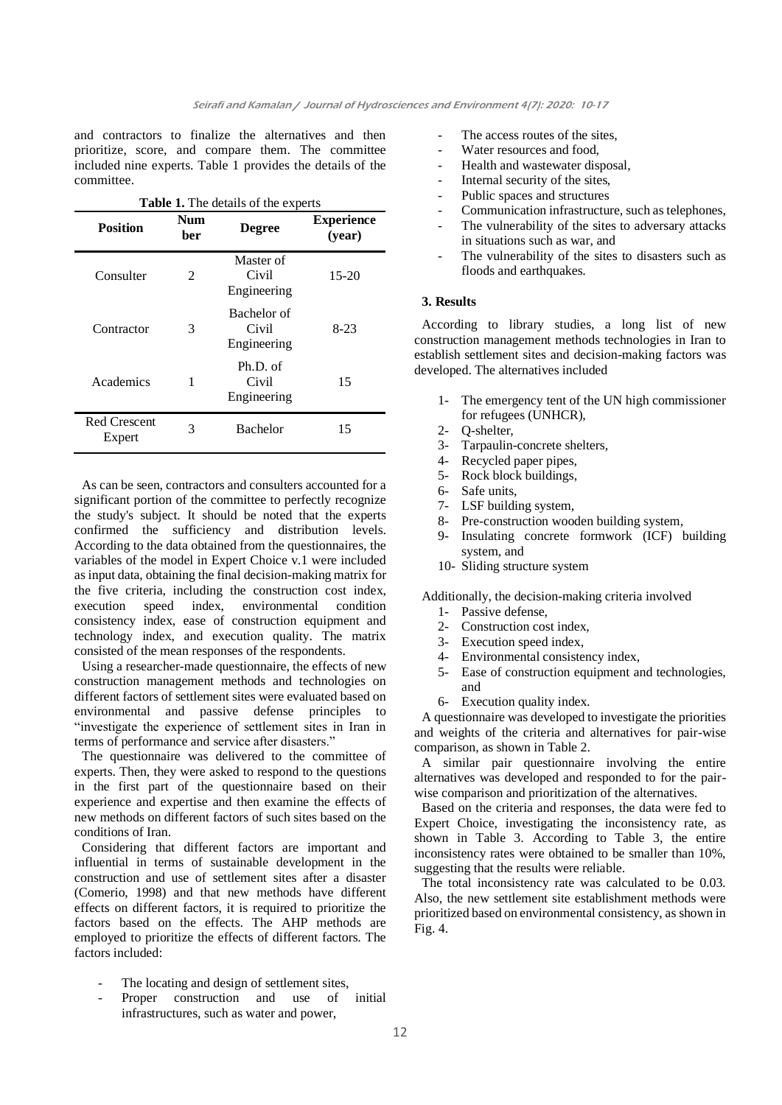and contractors to finalize the alternatives and then prioritize, score, and compare them. The committee included nine experts. Table 1 provides the details of the committee.

| <b>Table 1.</b> The details of the experts |                   |                                     |                             |  |  |  |  |
|--------------------------------------------|-------------------|-------------------------------------|-----------------------------|--|--|--|--|
| <b>Position</b>                            | <b>Num</b><br>ber | <b>Degree</b>                       | <b>Experience</b><br>(year) |  |  |  |  |
| Consulter                                  | $\mathfrak{D}$    | Master of<br>Civil<br>Engineering   | $15 - 20$                   |  |  |  |  |
| Contractor                                 | 3                 | Bachelor of<br>Civil<br>Engineering | $8-23$                      |  |  |  |  |
| Academics                                  | 1                 | $Ph.D.$ of<br>Civil<br>Engineering  | 15                          |  |  |  |  |
| Red Crescent<br>Expert                     | 3                 | <b>Bachelor</b>                     | 15                          |  |  |  |  |

As can be seen, contractors and consulters accounted for a significant portion of the committee to perfectly recognize the study's subject. It should be noted that the experts confirmed the sufficiency and distribution levels. According to the data obtained from the questionnaires, the variables of the model in Expert Choice v.1 were included as input data, obtaining the final decision-making matrix for the five criteria, including the construction cost index, execution speed index, environmental condition consistency index, ease of construction equipment and technology index, and execution quality. The matrix consisted of the mean responses of the respondents.

Using a researcher-made questionnaire, the effects of new construction management methods and technologies on different factors of settlement sites were evaluated based on environmental and passive defense principles to "investigate the experience of settlement sites in Iran in terms of performance and service after disasters."

The questionnaire was delivered to the committee of experts. Then, they were asked to respond to the questions in the first part of the questionnaire based on their experience and expertise and then examine the effects of new methods on different factors of such sites based on the conditions of Iran.

Considering that different factors are important and influential in terms of sustainable development in the construction and use of settlement sites after a disaster (Comerio, 1998) and that new methods have different effects on different factors, it is required to prioritize the factors based on the effects. The AHP methods are employed to prioritize the effects of different factors. The factors included:

- The locating and design of settlement sites,
- Proper construction and use of initial infrastructures, such as water and power,
- The access routes of the sites,
- Water resources and food,
- Health and wastewater disposal,
- Internal security of the sites,
- Public spaces and structures
- Communication infrastructure, such as telephones,
- The vulnerability of the sites to adversary attacks in situations such as war, and
- The vulnerability of the sites to disasters such as floods and earthquakes.

#### **3. Results**

According to library studies, a long list of new construction management methods technologies in Iran to establish settlement sites and decision-making factors was developed. The alternatives included

- 1- The emergency tent of the UN high commissioner for refugees (UNHCR),
- 2- Q-shelter,
- 3- Tarpaulin-concrete shelters,
- 4- Recycled paper pipes,
- 5- Rock block buildings,
- 6- Safe units,
- 7- LSF building system,
- 8- Pre-construction wooden building system,
- 9- Insulating concrete formwork (ICF) building system, and
- 10- Sliding structure system

Additionally, the decision-making criteria involved

- 1- Passive defense,
- 2- Construction cost index,
- 3- Execution speed index,<br>4- Environmental consister
- Environmental consistency index,
- 5- Ease of construction equipment and technologies, and
- 6- Execution quality index.

A questionnaire was developed to investigate the priorities and weights of the criteria and alternatives for pair-wise comparison, as shown in Table 2.

A similar pair questionnaire involving the entire alternatives was developed and responded to for the pairwise comparison and prioritization of the alternatives.

Based on the criteria and responses, the data were fed to Expert Choice, investigating the inconsistency rate, as shown in Table 3. According to Table 3, the entire inconsistency rates were obtained to be smaller than 10%, suggesting that the results were reliable.

The total inconsistency rate was calculated to be 0.03. Also, the new settlement site establishment methods were prioritized based on environmental consistency, as shown in Fig. 4.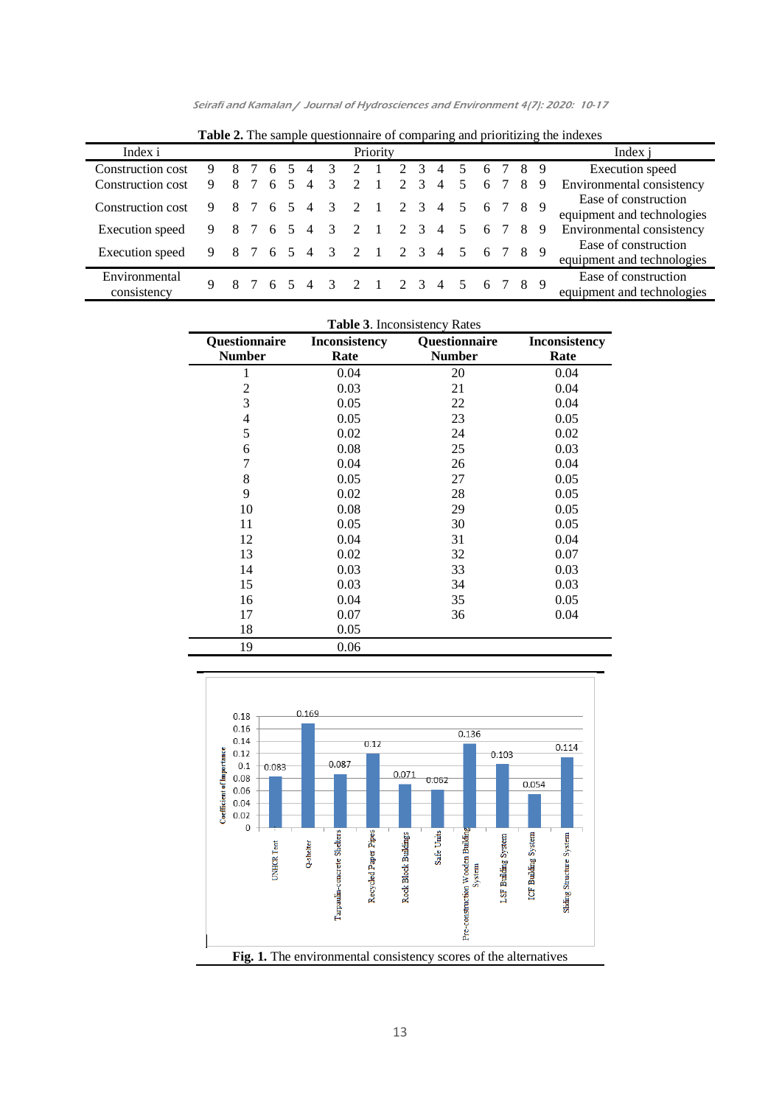| <b>Table 2.</b> The sample questionnaire of comparing and prioritizing the indexes |   |   |     |    |        |                |                         |                             |                |                             |               |                |   |           |         |    |    |                                                    |
|------------------------------------------------------------------------------------|---|---|-----|----|--------|----------------|-------------------------|-----------------------------|----------------|-----------------------------|---------------|----------------|---|-----------|---------|----|----|----------------------------------------------------|
| Index i                                                                            |   |   |     |    |        |                |                         |                             | Priority       |                             |               |                |   |           |         |    |    | Index i                                            |
| Construction cost                                                                  | 9 |   |     | 6  |        | $\overline{4}$ | 3                       | $\mathcal{D}$               |                | $\mathcal{D}_{\mathcal{L}}$ | $\mathcal{R}$ | 4              |   | 6         |         | 8  | -9 | Execution speed                                    |
| Construction cost                                                                  |   | 8 |     | 6  | .5     | $\overline{4}$ | 3                       | $\mathcal{D}_{\mathcal{L}}$ |                | $\mathcal{D}_{\mathcal{L}}$ | 3             | 4              |   | 6         |         | 8  | 9  | Environmental consistency                          |
| Construction cost                                                                  | 9 |   |     | 6  | $\sim$ | 4              | 3                       | $\overline{2}$              |                | 2                           | $\mathcal{E}$ | $\overline{4}$ | 5 |           | 6 7 8 9 |    |    | Ease of construction<br>equipment and technologies |
| Execution speed                                                                    | 9 |   |     | 6  | 5      | $\overline{4}$ | $\mathcal{E}$           | $\mathcal{D}$               |                |                             | 2 3           | $\overline{4}$ |   | 6         |         | -8 | 9  | Environmental consistency                          |
| Execution speed                                                                    | 9 |   | 8 7 | -6 | 5      |                |                         | 4 3 2                       | $\blacksquare$ |                             | 2 3           | 4              |   | 5 6 7 8 9 |         |    |    | Ease of construction<br>equipment and technologies |
| Environmental<br>consistency                                                       | 9 |   |     |    |        | $\overline{4}$ | $\overline{\mathbf{3}}$ |                             |                |                             |               | 4              |   |           | 6 7     |    | 89 | Ease of construction<br>equipment and technologies |

Seirafi and Kamalan / Journal of Hydrosciences and Environment 4(7): 2020: 10-17

| Questionnaire<br><b>Number</b> | <b>Inconsistency</b><br>Rate | Questionnaire<br><b>Number</b> | <b>Inconsistency</b><br>Rate |  |  |
|--------------------------------|------------------------------|--------------------------------|------------------------------|--|--|
| 1                              | 0.04                         | 20                             | 0.04                         |  |  |
| 2                              | 0.03                         | 21                             | 0.04                         |  |  |
| 3                              | 0.05                         | 22                             | 0.04                         |  |  |
| 4                              | 0.05                         | 23                             | 0.05                         |  |  |
| 5                              | 0.02                         | 24                             | 0.02                         |  |  |
| 6                              | 0.08                         | 25                             | 0.03                         |  |  |
| 7                              | 0.04                         | 26                             | 0.04                         |  |  |
| 8                              | 0.05                         | 27                             | 0.05                         |  |  |
| 9                              | 0.02                         | 28                             | 0.05                         |  |  |
| 10                             | 0.08                         | 29                             | 0.05                         |  |  |
| 11                             | 0.05                         | 30                             | 0.05                         |  |  |
| 12                             | 0.04                         | 31                             | 0.04                         |  |  |
| 13                             | 0.02                         | 32                             | 0.07                         |  |  |
| 14                             | 0.03                         | 33                             | 0.03                         |  |  |
| 15                             | 0.03                         | 34                             | 0.03                         |  |  |
| 16                             | 0.04                         | 35                             | 0.05                         |  |  |
| 17                             | 0.07                         | 36                             | 0.04                         |  |  |
| 18                             | 0.05                         |                                |                              |  |  |
| 19                             | 0.06                         |                                |                              |  |  |



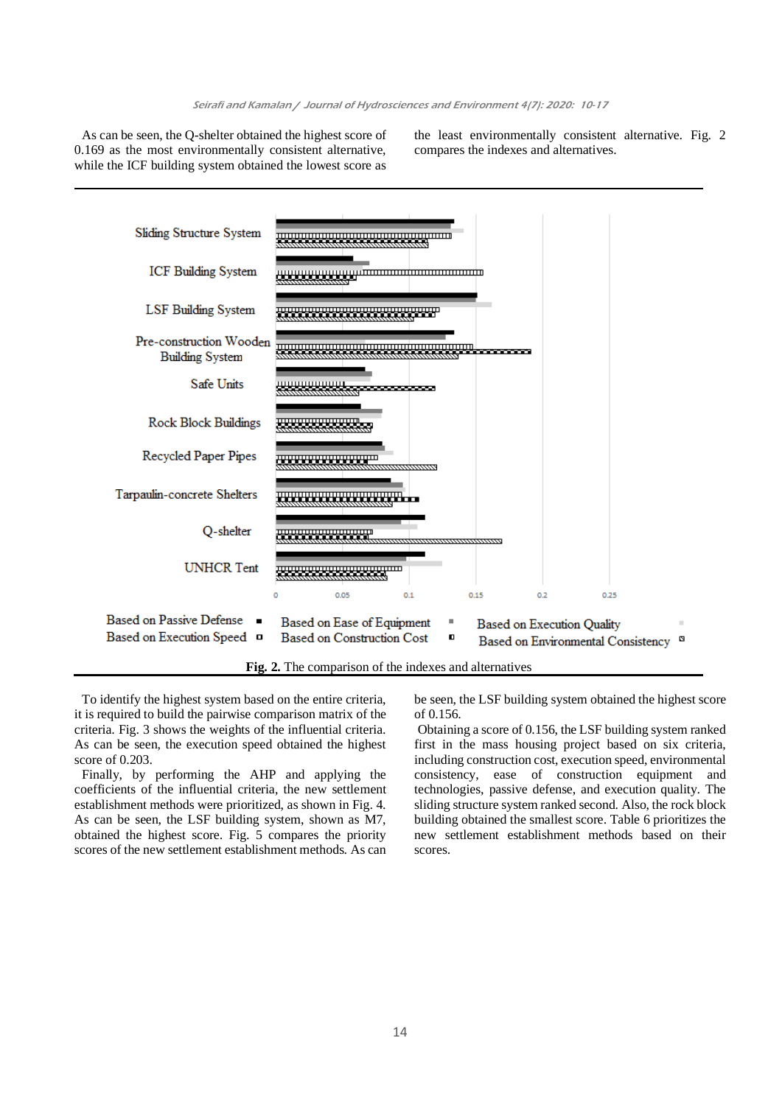As can be seen, the Q-shelter obtained the highest score of 0.169 as the most environmentally consistent alternative, while the ICF building system obtained the lowest score as

the least environmentally consistent alternative. Fig. 2 compares the indexes and alternatives.



To identify the highest system based on the entire criteria, it is required to build the pairwise comparison matrix of the criteria. Fig. 3 shows the weights of the influential criteria. As can be seen, the execution speed obtained the highest score of 0.203.

Finally, by performing the AHP and applying the coefficients of the influential criteria, the new settlement establishment methods were prioritized, as shown in Fig. 4. As can be seen, the LSF building system, shown as M7, obtained the highest score. Fig. 5 compares the priority scores of the new settlement establishment methods. As can be seen, the LSF building system obtained the highest score of 0.156.

Obtaining a score of 0.156, the LSF building system ranked first in the mass housing project based on six criteria, including construction cost, execution speed, environmental consistency, ease of construction equipment and technologies, passive defense, and execution quality. The sliding structure system ranked second. Also, the rock block building obtained the smallest score. Table 6 prioritizes the new settlement establishment methods based on their scores.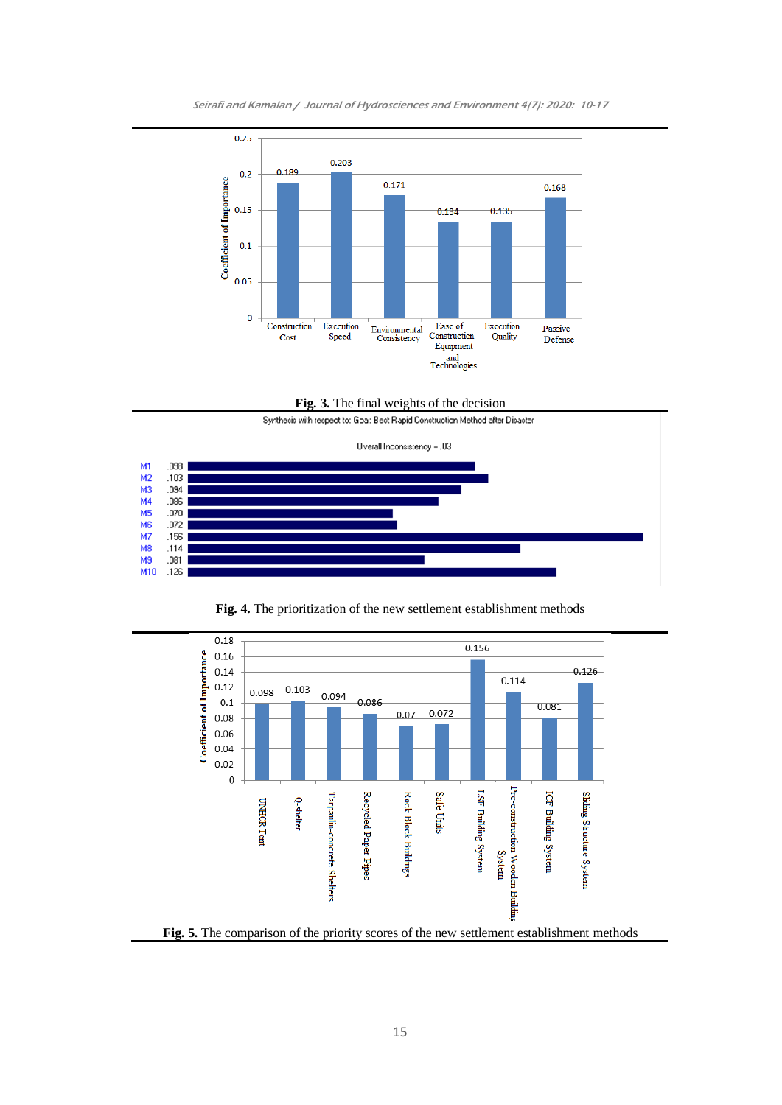



**Fig. 3.** The final weights of the decision



**Fig. 4.** The prioritization of the new settlement establishment methods

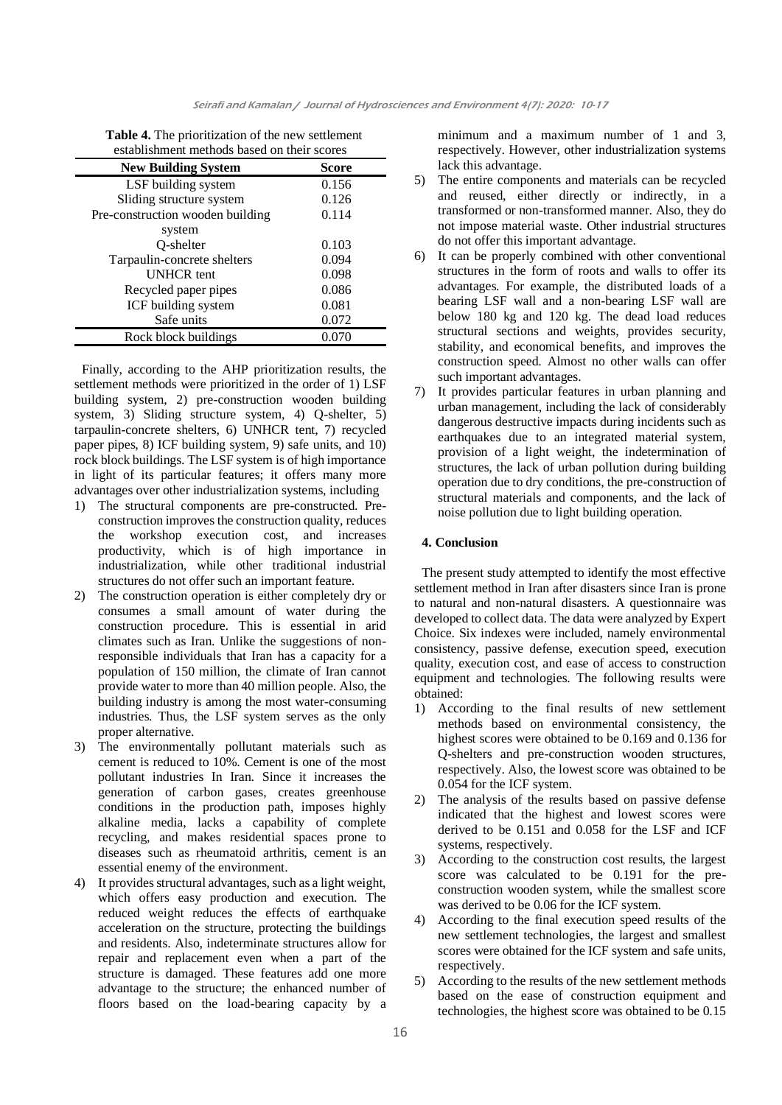| Table 4. The prioritization of the new settlement |
|---------------------------------------------------|
| establishment methods based on their scores       |

| <b>New Building System</b>       | Score |
|----------------------------------|-------|
| LSF building system              | 0.156 |
| Sliding structure system         | 0.126 |
| Pre-construction wooden building | 0.114 |
| system                           |       |
| Q-shelter                        | 0.103 |
| Tarpaulin-concrete shelters      | 0.094 |
| <b>UNHCR</b> tent                | 0.098 |
| Recycled paper pipes             | 0.086 |
| ICF building system              | 0.081 |
| Safe units                       | 0.072 |
| Rock block buildings             | 0.070 |

Finally, according to the AHP prioritization results, the settlement methods were prioritized in the order of 1) LSF building system, 2) pre-construction wooden building system, 3) Sliding structure system, 4) Q-shelter, 5) tarpaulin-concrete shelters, 6) UNHCR tent, 7) recycled paper pipes, 8) ICF building system, 9) safe units, and 10) rock block buildings. The LSF system is of high importance in light of its particular features; it offers many more advantages over other industrialization systems, including

- 1) The structural components are pre-constructed. Preconstruction improves the construction quality, reduces the workshop execution cost, and increases productivity, which is of high importance in industrialization, while other traditional industrial structures do not offer such an important feature.
- 2) The construction operation is either completely dry or consumes a small amount of water during the construction procedure. This is essential in arid climates such as Iran. Unlike the suggestions of nonresponsible individuals that Iran has a capacity for a population of 150 million, the climate of Iran cannot provide water to more than 40 million people. Also, the building industry is among the most water-consuming industries. Thus, the LSF system serves as the only proper alternative.
- 3) The environmentally pollutant materials such as cement is reduced to 10%. Cement is one of the most pollutant industries In Iran. Since it increases the generation of carbon gases, creates greenhouse conditions in the production path, imposes highly alkaline media, lacks a capability of complete recycling, and makes residential spaces prone to diseases such as rheumatoid arthritis, cement is an essential enemy of the environment.
- 4) It provides structural advantages, such as a light weight, which offers easy production and execution. The reduced weight reduces the effects of earthquake acceleration on the structure, protecting the buildings and residents. Also, indeterminate structures allow for repair and replacement even when a part of the structure is damaged. These features add one more advantage to the structure; the enhanced number of floors based on the load-bearing capacity by a

minimum and a maximum number of 1 and 3, respectively. However, other industrialization systems lack this advantage.

- 5) The entire components and materials can be recycled and reused, either directly or indirectly, in a transformed or non-transformed manner. Also, they do not impose material waste. Other industrial structures do not offer this important advantage.
- 6) It can be properly combined with other conventional structures in the form of roots and walls to offer its advantages. For example, the distributed loads of a bearing LSF wall and a non-bearing LSF wall are below 180 kg and 120 kg. The dead load reduces structural sections and weights, provides security, stability, and economical benefits, and improves the construction speed. Almost no other walls can offer such important advantages.
- 7) It provides particular features in urban planning and urban management, including the lack of considerably dangerous destructive impacts during incidents such as earthquakes due to an integrated material system, provision of a light weight, the indetermination of structures, the lack of urban pollution during building operation due to dry conditions, the pre-construction of structural materials and components, and the lack of noise pollution due to light building operation.

## **4. Conclusion**

The present study attempted to identify the most effective settlement method in Iran after disasters since Iran is prone to natural and non-natural disasters. A questionnaire was developed to collect data. The data were analyzed by Expert Choice. Six indexes were included, namely environmental consistency, passive defense, execution speed, execution quality, execution cost, and ease of access to construction equipment and technologies. The following results were obtained:

- 1) According to the final results of new settlement methods based on environmental consistency, the highest scores were obtained to be 0.169 and 0.136 for Q-shelters and pre-construction wooden structures, respectively. Also, the lowest score was obtained to be 0.054 for the ICF system.
- 2) The analysis of the results based on passive defense indicated that the highest and lowest scores were derived to be 0.151 and 0.058 for the LSF and ICF systems, respectively.
- 3) According to the construction cost results, the largest score was calculated to be 0.191 for the preconstruction wooden system, while the smallest score was derived to be 0.06 for the ICF system.
- 4) According to the final execution speed results of the new settlement technologies, the largest and smallest scores were obtained for the ICF system and safe units, respectively.
- 5) According to the results of the new settlement methods based on the ease of construction equipment and technologies, the highest score was obtained to be 0.15